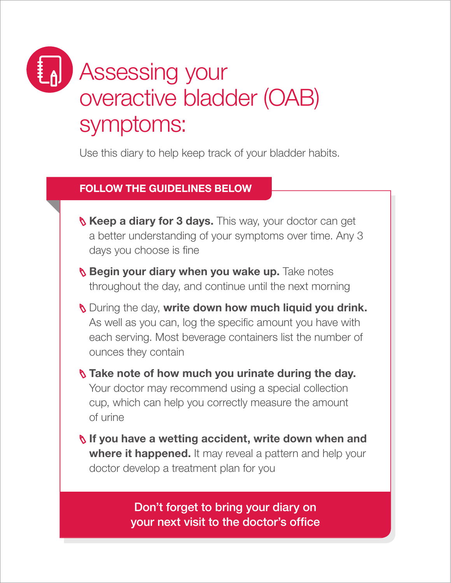## Assessing your overactive bladder (OAB) symptoms:

Use this diary to help keep track of your bladder habits.

## FOLLOW THE GUIDELINES BELOW

- S Keep a diary for 3 days. This way, your doctor can get a better understanding of your symptoms over time. Any 3 days you choose is fine
- **Begin your diary when you wake up.** Take notes throughout the day, and continue until the next morning
- **N** During the day, write down how much liquid you drink. As well as you can, log the specific amount you have with each serving. Most beverage containers list the number of ounces they contain

**S** Take note of how much you urinate during the day. Your doctor may recommend using a special collection cup, which can help you correctly measure the amount of urine

**If you have a wetting accident, write down when and** where it happened. It may reveal a pattern and help your doctor develop a treatment plan for you

> Don't forget to bring your diary on your next visit to the doctor's office